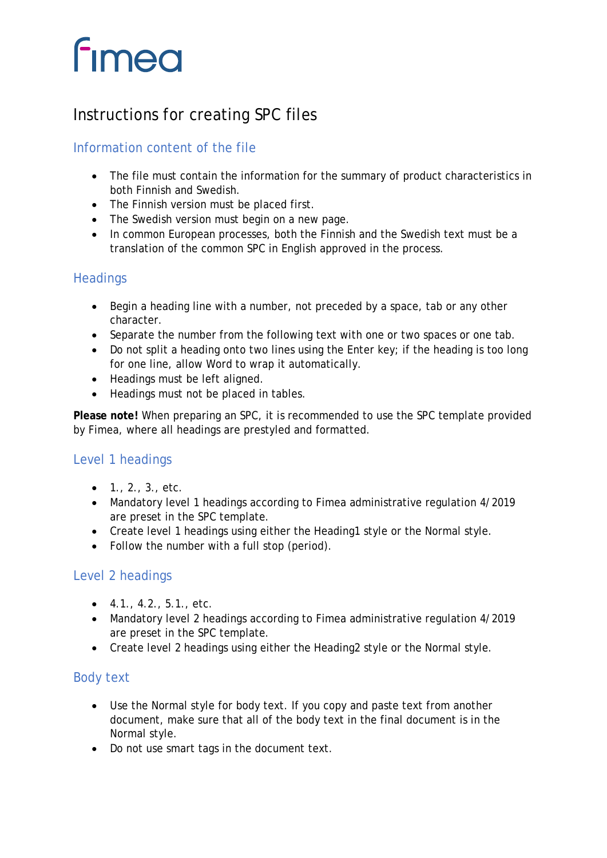# **fimea**

# Instructions for creating SPC files

## Information content of the file

- The file must contain the information for the summary of product characteristics in both Finnish and Swedish.
- The Finnish version must be placed first.
- The Swedish version must begin on a new page.
- In common European processes, both the Finnish and the Swedish text must be a translation of the common SPC in English approved in the process.

#### **Headings**

- Begin a heading line with a number, not preceded by a space, tab or any other character.
- Separate the number from the following text with one or two spaces or one tab.
- Do not split a heading onto two lines using the Enter key; if the heading is too long for one line, allow Word to wrap it automatically.
- Headings must be left aligned.
- Headings must not be placed in tables.

**Please note!** When preparing an SPC, it is recommended to use the SPC template provided by Fimea, where all headings are prestyled and formatted.

### Level 1 headings

- $1., 2., 3., etc.$
- Mandatory level 1 headings according to Fimea administrative regulation 4/2019 are preset in the SPC template.
- Create level 1 headings using either the Heading1 style or the Normal style.
- Follow the number with a full stop (period).

#### Level 2 headings

- $\bullet$  4.1., 4.2., 5.1., etc.
- Mandatory level 2 headings according to Fimea administrative regulation 4/2019 are preset in the SPC template.
- Create level 2 headings using either the Heading2 style or the Normal style.

#### Body text

- Use the Normal style for body text. If you copy and paste text from another document, make sure that all of the body text in the final document is in the Normal style.
- Do not use smart tags in the document text.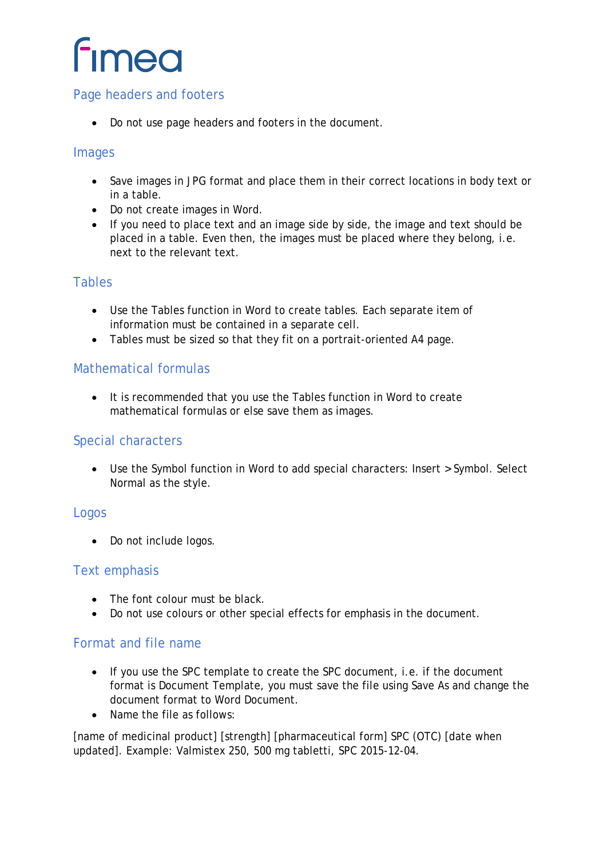# **fimea**

#### Page headers and footers

• Do not use page headers and footers in the document.

#### Images

- Save images in JPG format and place them in their correct locations in body text or in a table.
- Do not create images in Word.
- If you need to place text and an image side by side, the image and text should be placed in a table. Even then, the images must be placed where they belong, i.e. next to the relevant text.

#### Tables

- Use the Tables function in Word to create tables. Each separate item of information must be contained in a separate cell.
- Tables must be sized so that they fit on a portrait-oriented A4 page.

#### Mathematical formulas

• It is recommended that you use the Tables function in Word to create mathematical formulas or else save them as images.

#### Special characters

• Use the Symbol function in Word to add special characters: Insert > Symbol. Select Normal as the style.

#### Logos

• Do not include logos.

#### Text emphasis

- The font colour must be black.
- Do not use colours or other special effects for emphasis in the document.

#### Format and file name

- If you use the SPC template to create the SPC document, i.e. if the document format is Document Template, you must save the file using Save As and change the document format to Word Document.
- Name the file as follows:

[name of medicinal product] [strength] [pharmaceutical form] SPC (OTC) [date when updated]. Example: Valmistex 250, 500 mg tabletti, SPC 2015-12-04.